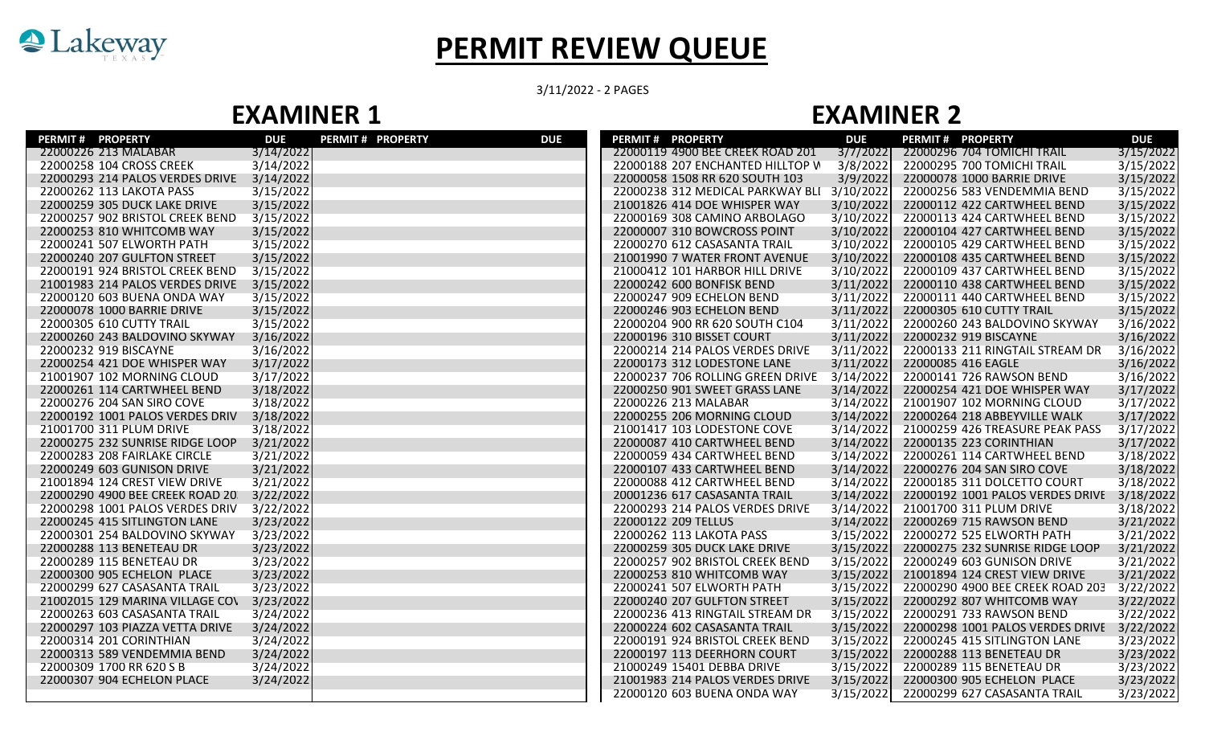

## **PERMIT REVIEW QUEUE**

3/11/2022 - 2 PAGES

## **EXAMINER 1 EXAMINER 2**

| <b>PERMIT # PROPERTY</b>         | <b>DUE</b> | <b>PERMIT # PROPERTY</b> | <b>DUE</b> | <b>PERMIT # PROPERTY</b>         | <b>DUE</b> | <b>PERMIT # PROPERTY</b>         | <b>DUE</b> |
|----------------------------------|------------|--------------------------|------------|----------------------------------|------------|----------------------------------|------------|
| 22000226 213 MALABAR             | 3/14/2022  |                          |            | 22000119 4900 BEE CREEK ROAD 201 | 3/7/2022   | 22000296 704 TOMICHI TRAIL       | 3/15/2022  |
| 22000258 104 CROSS CREEK         | 3/14/2022  |                          |            | 22000188 207 ENCHANTED HILLTOP W | 3/8/2022   | 22000295 700 TOMICHI TRAIL       | 3/15/2022  |
| 22000293 214 PALOS VERDES DRIVE  | 3/14/2022  |                          |            | 22000058 1508 RR 620 SOUTH 103   | 3/9/2022   | 22000078 1000 BARRIE DRIVE       | 3/15/2022  |
| 22000262 113 LAKOTA PASS         | 3/15/2022  |                          |            | 22000238 312 MEDICAL PARKWAY BLI | 3/10/2022  | 22000256 583 VENDEMMIA BEND      | 3/15/2022  |
| 22000259 305 DUCK LAKE DRIVE     | 3/15/2022  |                          |            | 21001826 414 DOE WHISPER WAY     | 3/10/2022  | 22000112 422 CARTWHEEL BEND      | 3/15/2022  |
| 22000257 902 BRISTOL CREEK BEND  | 3/15/2022  |                          |            | 22000169 308 CAMINO ARBOLAGO     | 3/10/2022  | 22000113 424 CARTWHEEL BEND      | 3/15/2022  |
| 22000253 810 WHITCOMB WAY        | 3/15/2022  |                          |            | 22000007 310 BOWCROSS POINT      | 3/10/2022  | 22000104 427 CARTWHEEL BEND      | 3/15/2022  |
| 22000241 507 ELWORTH PATH        | 3/15/2022  |                          |            | 22000270 612 CASASANTA TRAIL     | 3/10/2022  | 22000105 429 CARTWHEEL BEND      | 3/15/2022  |
| 22000240 207 GULFTON STREET      | 3/15/2022  |                          |            | 21001990 7 WATER FRONT AVENUE    | 3/10/2022  | 22000108 435 CARTWHEEL BEND      | 3/15/2022  |
| 22000191 924 BRISTOL CREEK BEND  | 3/15/2022  |                          |            | 21000412 101 HARBOR HILL DRIVE   | 3/10/2022  | 22000109 437 CARTWHEEL BEND      | 3/15/2022  |
| 21001983 214 PALOS VERDES DRIVE  | 3/15/2022  |                          |            | 22000242 600 BONFISK BEND        | 3/11/2022  | 22000110 438 CARTWHEEL BEND      | 3/15/2022  |
| 22000120 603 BUENA ONDA WAY      | 3/15/2022  |                          |            | 22000247 909 ECHELON BEND        | 3/11/2022  | 22000111 440 CARTWHEEL BEND      | 3/15/2022  |
| 22000078 1000 BARRIE DRIVE       | 3/15/2022  |                          |            | 22000246 903 ECHELON BEND        | 3/11/2022  | 22000305 610 CUTTY TRAIL         | 3/15/2022  |
| 22000305 610 CUTTY TRAIL         | 3/15/2022  |                          |            | 22000204 900 RR 620 SOUTH C104   | 3/11/2022  | 22000260 243 BALDOVINO SKYWAY    | 3/16/2022  |
| 22000260 243 BALDOVINO SKYWAY    | 3/16/2022  |                          |            | 22000196 310 BISSET COURT        | 3/11/2022  | 22000232 919 BISCAYNE            | 3/16/2022  |
| 22000232 919 BISCAYNE            | 3/16/2022  |                          |            | 22000214 214 PALOS VERDES DRIVE  | 3/11/2022  | 22000133 211 RINGTAIL STREAM DR  | 3/16/2022  |
| 22000254 421 DOE WHISPER WAY     | 3/17/2022  |                          |            | 22000173 312 LODESTONE LANE      | 3/11/2022  | 22000085 416 EAGLE               | 3/16/2022  |
| 21001907 102 MORNING CLOUD       | 3/17/2022  |                          |            | 22000237 706 ROLLING GREEN DRIVE | 3/14/2022  | 22000141 726 RAWSON BEND         | 3/16/2022  |
| 22000261 114 CARTWHEEL BEND      | 3/18/2022  |                          |            | 22000250 901 SWEET GRASS LANE    | 3/14/2022  | 22000254 421 DOE WHISPER WAY     | 3/17/2022  |
| 22000276 204 SAN SIRO COVE       | 3/18/2022  |                          |            | 22000226 213 MALABAR             | 3/14/2022  | 21001907 102 MORNING CLOUD       | 3/17/2022  |
| 22000192 1001 PALOS VERDES DRIV  | 3/18/2022  |                          |            | 22000255 206 MORNING CLOUD       | 3/14/2022  | 22000264 218 ABBEYVILLE WALK     | 3/17/2022  |
| 21001700 311 PLUM DRIVE          | 3/18/2022  |                          |            | 21001417 103 LODESTONE COVE      | 3/14/2022  | 21000259 426 TREASURE PEAK PASS  | 3/17/2022  |
| 22000275 232 SUNRISE RIDGE LOOP  | 3/21/2022  |                          |            | 22000087 410 CARTWHEEL BEND      | 3/14/2022  | 22000135 223 CORINTHIAN          | 3/17/2022  |
| 22000283 208 FAIRLAKE CIRCLE     | 3/21/2022  |                          |            | 22000059 434 CARTWHEEL BEND      | 3/14/2022  | 22000261 114 CARTWHEEL BEND      | 3/18/2022  |
| 22000249 603 GUNISON DRIVE       | 3/21/2022  |                          |            | 22000107 433 CARTWHEEL BEND      | 3/14/2022  | 22000276 204 SAN SIRO COVE       | 3/18/2022  |
| 21001894 124 CREST VIEW DRIVE    | 3/21/2022  |                          |            | 22000088 412 CARTWHEEL BEND      | 3/14/2022  | 22000185 311 DOLCETTO COURT      | 3/18/2022  |
| 22000290 4900 BEE CREEK ROAD 20. | 3/22/2022  |                          |            | 20001236 617 CASASANTA TRAIL     | 3/14/2022  | 22000192 1001 PALOS VERDES DRIVE | 3/18/2022  |
| 22000298 1001 PALOS VERDES DRIV  | 3/22/2022  |                          |            | 22000293 214 PALOS VERDES DRIVE  | 3/14/2022  | 21001700 311 PLUM DRIVE          | 3/18/2022  |
| 22000245 415 SITLINGTON LANE     | 3/23/2022  |                          |            | 22000122 209 TELLUS              | 3/14/2022  | 22000269 715 RAWSON BEND         | 3/21/2022  |
| 22000301 254 BALDOVINO SKYWAY    | 3/23/2022  |                          |            | 22000262 113 LAKOTA PASS         | 3/15/2022  | 22000272 525 ELWORTH PATH        | 3/21/2022  |
| 22000288 113 BENETEAU DR         | 3/23/2022  |                          |            | 22000259 305 DUCK LAKE DRIVE     | 3/15/2022  | 22000275 232 SUNRISE RIDGE LOOP  | 3/21/2022  |
| 22000289 115 BENETEAU DR         | 3/23/2022  |                          |            | 22000257 902 BRISTOL CREEK BEND  | 3/15/2022  | 22000249 603 GUNISON DRIVE       | 3/21/2022  |
| 22000300 905 ECHELON PLACE       | 3/23/2022  |                          |            | 22000253 810 WHITCOMB WAY        | 3/15/2022  | 21001894 124 CREST VIEW DRIVE    | 3/21/2022  |
| 22000299 627 CASASANTA TRAIL     | 3/23/2022  |                          |            | 22000241 507 ELWORTH PATH        | 3/15/2022  | 22000290 4900 BEE CREEK ROAD 203 | 3/22/2022  |
| 21002015 129 MARINA VILLAGE COV  | 3/23/2022  |                          |            | 22000240 207 GULFTON STREET      | 3/15/2022  | 22000292 807 WHITCOMB WAY        | 3/22/2022  |
| 22000263 603 CASASANTA TRAIL     | 3/24/2022  |                          |            | 22000236 413 RINGTAIL STREAM DR  | 3/15/2022  | 22000291 733 RAWSON BEND         | 3/22/2022  |
| 22000297 103 PIAZZA VETTA DRIVE  | 3/24/2022  |                          |            | 22000224 602 CASASANTA TRAIL     | 3/15/2022  | 22000298 1001 PALOS VERDES DRIVE | 3/22/2022  |
| 22000314 201 CORINTHIAN          | 3/24/2022  |                          |            | 22000191 924 BRISTOL CREEK BEND  | 3/15/2022  | 22000245 415 SITLINGTON LANE     | 3/23/2022  |
| 22000313 589 VENDEMMIA BEND      | 3/24/2022  |                          |            | 22000197 113 DEERHORN COURT      | 3/15/2022  | 22000288 113 BENETEAU DR         | 3/23/2022  |
| 22000309 1700 RR 620 S B         | 3/24/2022  |                          |            | 21000249 15401 DEBBA DRIVE       | 3/15/2022  | 22000289 115 BENETEAU DR         | 3/23/2022  |
| 22000307 904 ECHELON PLACE       | 3/24/2022  |                          |            | 21001983 214 PALOS VERDES DRIVE  | 3/15/2022  | 22000300 905 ECHELON PLACE       | 3/23/2022  |
|                                  |            |                          |            | 22000120 603 BUENA ONDA WAY      | 3/15/2022  | 22000299 627 CASASANTA TRAIL     | 3/23/2022  |